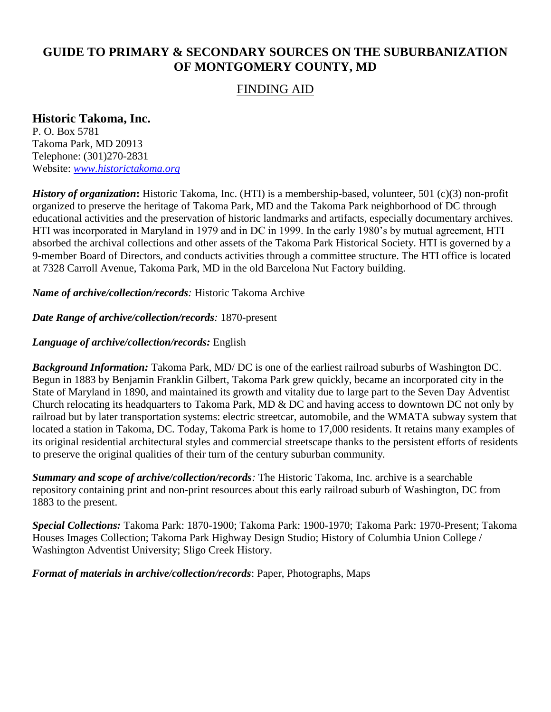# **GUIDE TO PRIMARY & SECONDARY SOURCES ON THE SUBURBANIZATION OF MONTGOMERY COUNTY, MD**

### FINDING AID

## **Historic Takoma, Inc.**

P. O. Box 5781 Takoma Park, MD 20913 Telephone: (301)270-2831 Website: *[www.historictakoma.org](http://www.historictakoma.org/)*

*History of organization*: Historic Takoma, Inc. (HTI) is a membership-based, volunteer, 501 (c)(3) non-profit organized to preserve the heritage of Takoma Park, MD and the Takoma Park neighborhood of DC through educational activities and the preservation of historic landmarks and artifacts, especially documentary archives. HTI was incorporated in Maryland in 1979 and in DC in 1999. In the early 1980's by mutual agreement, HTI absorbed the archival collections and other assets of the Takoma Park Historical Society. HTI is governed by a 9-member Board of Directors, and conducts activities through a committee structure. The HTI office is located at 7328 Carroll Avenue, Takoma Park, MD in the old Barcelona Nut Factory building.

*Name of archive/collection/records:* Historic Takoma Archive

#### *Date Range of archive/collection/records:* 1870-present

### *Language of archive/collection/records:* English

*Background Information:* Takoma Park, MD/ DC is one of the earliest railroad suburbs of Washington DC. Begun in 1883 by Benjamin Franklin Gilbert, Takoma Park grew quickly, became an incorporated city in the State of Maryland in 1890, and maintained its growth and vitality due to large part to the Seven Day Adventist Church relocating its headquarters to Takoma Park, MD & DC and having access to downtown DC not only by railroad but by later transportation systems: electric streetcar, automobile, and the WMATA subway system that located a station in Takoma, DC. Today, Takoma Park is home to 17,000 residents. It retains many examples of its original residential architectural styles and commercial streetscape thanks to the persistent efforts of residents to preserve the original qualities of their turn of the century suburban community.

*Summary and scope of archive/collection/records:* The Historic Takoma, Inc. archive is a searchable repository containing print and non-print resources about this early railroad suburb of Washington, DC from 1883 to the present.

*Special Collections:* Takoma Park: 1870-1900; Takoma Park: 1900-1970; Takoma Park: 1970-Present; Takoma Houses Images Collection; Takoma Park Highway Design Studio; History of Columbia Union College / Washington Adventist University; Sligo Creek History.

*Format of materials in archive/collection/records*: Paper, Photographs, Maps